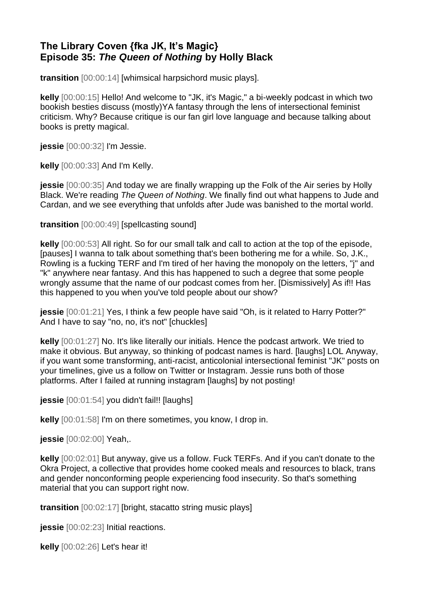# **The Library Coven {fka JK, It's Magic} Episode 35:** *The Queen of Nothing* **by Holly Black**

**transition** [00:00:14] [whimsical harpsichord music plays].

**kelly** [00:00:15] Hello! And welcome to "JK, it's Magic," a bi-weekly podcast in which two bookish besties discuss (mostly)YA fantasy through the lens of intersectional feminist criticism. Why? Because critique is our fan girl love language and because talking about books is pretty magical.

**jessie** [00:00:32] I'm Jessie.

**kelly** [00:00:33] And I'm Kelly.

**jessie** [00:00:35] And today we are finally wrapping up the Folk of the Air series by Holly Black. We're reading *The Queen of Nothing*. We finally find out what happens to Jude and Cardan, and we see everything that unfolds after Jude was banished to the mortal world.

**transition** [00:00:49] [spellcasting sound]

**kelly** [00:00:53] All right. So for our small talk and call to action at the top of the episode, [pauses] I wanna to talk about something that's been bothering me for a while. So, J.K., Rowling is a fucking TERF and I'm tired of her having the monopoly on the letters, "j" and "k" anywhere near fantasy. And this has happened to such a degree that some people wrongly assume that the name of our podcast comes from her. [Dismissively] As if!! Has this happened to you when you've told people about our show?

**jessie** [00:01:21] Yes, I think a few people have said "Oh, is it related to Harry Potter?" And I have to say "no, no, it's not" [chuckles]

**kelly** [00:01:27] No. It's like literally our initials. Hence the podcast artwork. We tried to make it obvious. But anyway, so thinking of podcast names is hard. [laughs] LOL Anyway, if you want some transforming, anti-racist, anticolonial intersectional feminist "JK" posts on your timelines, give us a follow on Twitter or Instagram. Jessie runs both of those platforms. After I failed at running instagram [laughs] by not posting!

**jessie** [00:01:54] you didn't fail!! [laughs]

**kelly** [00:01:58] I'm on there sometimes, you know, I drop in.

**jessie** [00:02:00] Yeah,.

**kelly** [00:02:01] But anyway, give us a follow. Fuck TERFs. And if you can't donate to the Okra Project, a collective that provides home cooked meals and resources to black, trans and gender nonconforming people experiencing food insecurity. So that's something material that you can support right now.

**transition** [00:02:17] [bright, stacatto string music plays]

**jessie** [00:02:23] Initial reactions.

**kelly** [00:02:26] Let's hear it!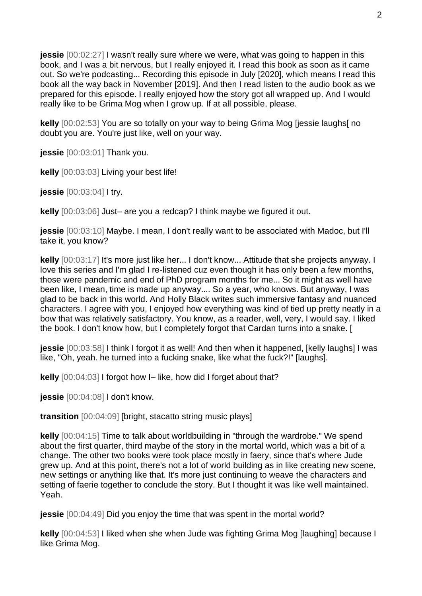**jessie** [00:02:27] I wasn't really sure where we were, what was going to happen in this book, and I was a bit nervous, but I really enjoyed it. I read this book as soon as it came out. So we're podcasting... Recording this episode in July [2020], which means I read this book all the way back in November [2019]. And then I read listen to the audio book as we prepared for this episode. I really enjoyed how the story got all wrapped up. And I would really like to be Grima Mog when I grow up. If at all possible, please.

**kelly** [00:02:53] You are so totally on your way to being Grima Mog [jessie laughs[ no doubt you are. You're just like, well on your way.

**jessie** [00:03:01] Thank you.

**kelly** [00:03:03] Living your best life!

**jessie** [00:03:04] I try.

**kelly** [00:03:06] Just– are you a redcap? I think maybe we figured it out.

**jessie** [00:03:10] Maybe. I mean, I don't really want to be associated with Madoc, but I'll take it, you know?

**kelly** [00:03:17] It's more just like her... I don't know... Attitude that she projects anyway. I love this series and I'm glad I re-listened cuz even though it has only been a few months, those were pandemic and end of PhD program months for me... So it might as well have been like, I mean, time is made up anyway.... So a year, who knows. But anyway, I was glad to be back in this world. And Holly Black writes such immersive fantasy and nuanced characters. I agree with you, I enjoyed how everything was kind of tied up pretty neatly in a bow that was relatively satisfactory. You know, as a reader, well, very, I would say. I liked the book. I don't know how, but I completely forgot that Cardan turns into a snake. [

**jessie** [00:03:58] I think I forgot it as well! And then when it happened, [kelly laughs] I was like, "Oh, yeah. he turned into a fucking snake, like what the fuck?!" [laughs].

**kelly** [00:04:03] I forgot how I– like, how did I forget about that?

**jessie** [00:04:08] I don't know.

**transition** [00:04:09] [bright, stacatto string music plays]

**kelly** [00:04:15] Time to talk about worldbuilding in "through the wardrobe." We spend about the first quarter, third maybe of the story in the mortal world, which was a bit of a change. The other two books were took place mostly in faery, since that's where Jude grew up. And at this point, there's not a lot of world building as in like creating new scene, new settings or anything like that. It's more just continuing to weave the characters and setting of faerie together to conclude the story. But I thought it was like well maintained. Yeah.

**jessie** [00:04:49] Did you enjoy the time that was spent in the mortal world?

**kelly** [00:04:53] I liked when she when Jude was fighting Grima Mog [laughing] because I like Grima Mog.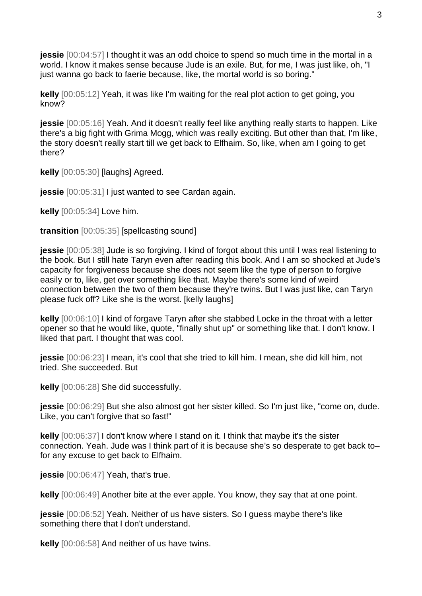**jessie** [00:04:57] I thought it was an odd choice to spend so much time in the mortal in a world. I know it makes sense because Jude is an exile. But, for me, I was just like, oh, "I just wanna go back to faerie because, like, the mortal world is so boring."

**kelly** [00:05:12] Yeah, it was like I'm waiting for the real plot action to get going, you know?

**jessie** [00:05:16] Yeah. And it doesn't really feel like anything really starts to happen. Like there's a big fight with Grima Mogg, which was really exciting. But other than that, I'm like, the story doesn't really start till we get back to Elfhaim. So, like, when am I going to get there?

**kelly** [00:05:30] [laughs] Agreed.

**jessie**  $[00:05:31]$  I just wanted to see Cardan again.

**kelly** [00:05:34] Love him.

**transition** [00:05:35] [spellcasting sound]

**jessie** [00:05:38] Jude is so forgiving. I kind of forgot about this until I was real listening to the book. But I still hate Taryn even after reading this book. And I am so shocked at Jude's capacity for forgiveness because she does not seem like the type of person to forgive easily or to, like, get over something like that. Maybe there's some kind of weird connection between the two of them because they're twins. But I was just like, can Taryn please fuck off? Like she is the worst. [kelly laughs]

**kelly** [00:06:10] I kind of forgave Taryn after she stabbed Locke in the throat with a letter opener so that he would like, quote, "finally shut up" or something like that. I don't know. I liked that part. I thought that was cool.

**jessie** [00:06:23] I mean, it's cool that she tried to kill him. I mean, she did kill him, not tried. She succeeded. But

**kelly** [00:06:28] She did successfully.

**jessie** [00:06:29] But she also almost got her sister killed. So I'm just like, "come on, dude. Like, you can't forgive that so fast!"

**kelly** [00:06:37] I don't know where I stand on it. I think that maybe it's the sister connection. Yeah. Jude was I think part of it is because she's so desperate to get back to– for any excuse to get back to Elfhaim.

**jessie** [00:06:47] Yeah, that's true.

**kelly** [00:06:49] Another bite at the ever apple. You know, they say that at one point.

**jessie** [00:06:52] Yeah. Neither of us have sisters. So I guess maybe there's like something there that I don't understand.

**kelly** [00:06:58] And neither of us have twins.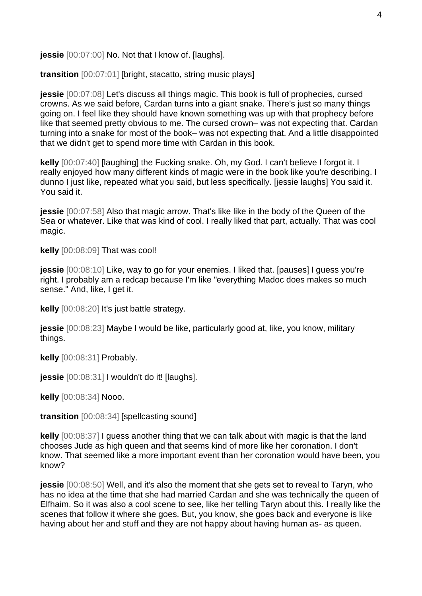**jessie** [00:07:00] No. Not that I know of. [laughs].

**transition** [00:07:01] [bright, stacatto, string music plays]

**jessie** [00:07:08] Let's discuss all things magic. This book is full of prophecies, cursed crowns. As we said before, Cardan turns into a giant snake. There's just so many things going on. I feel like they should have known something was up with that prophecy before like that seemed pretty obvious to me. The cursed crown– was not expecting that. Cardan turning into a snake for most of the book– was not expecting that. And a little disappointed that we didn't get to spend more time with Cardan in this book.

**kelly** [00:07:40] [laughing] the Fucking snake. Oh, my God. I can't believe I forgot it. I really enjoyed how many different kinds of magic were in the book like you're describing. I dunno I just like, repeated what you said, but less specifically. [jessie laughs] You said it. You said it.

**jessie** [00:07:58] Also that magic arrow. That's like like in the body of the Queen of the Sea or whatever. Like that was kind of cool. I really liked that part, actually. That was cool magic.

**kelly** [00:08:09] That was cool!

**jessie** [00:08:10] Like, way to go for your enemies. I liked that. [pauses] I guess you're right. I probably am a redcap because I'm like "everything Madoc does makes so much sense." And, like, I get it.

**kelly** [00:08:20] It's just battle strategy.

**jessie** [00:08:23] Maybe I would be like, particularly good at, like, you know, military things.

**kelly** [00:08:31] Probably.

**jessie** [00:08:31] I wouldn't do it! [laughs].

**kelly** [00:08:34] Nooo.

**transition** [00:08:34] [spellcasting sound]

**kelly** [00:08:37] I guess another thing that we can talk about with magic is that the land chooses Jude as high queen and that seems kind of more like her coronation. I don't know. That seemed like a more important event than her coronation would have been, you know?

**jessie** [00:08:50] Well, and it's also the moment that she gets set to reveal to Taryn, who has no idea at the time that she had married Cardan and she was technically the queen of Elfhaim. So it was also a cool scene to see, like her telling Taryn about this. I really like the scenes that follow it where she goes. But, you know, she goes back and everyone is like having about her and stuff and they are not happy about having human as- as queen.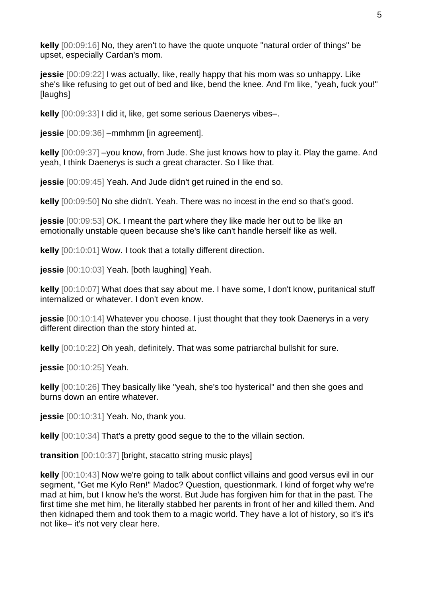**kelly** [00:09:16] No, they aren't to have the quote unquote "natural order of things" be upset, especially Cardan's mom.

**jessie** [00:09:22] I was actually, like, really happy that his mom was so unhappy. Like she's like refusing to get out of bed and like, bend the knee. And I'm like, "yeah, fuck you!" [laughs]

**kelly** [00:09:33] I did it, like, get some serious Daenerys vibes–.

**jessie** [00:09:36] –mmhmm [in agreement].

**kelly** [00:09:37] –you know, from Jude. She just knows how to play it. Play the game. And yeah, I think Daenerys is such a great character. So I like that.

**jessie** [00:09:45] Yeah. And Jude didn't get ruined in the end so.

**kelly** [00:09:50] No she didn't. Yeah. There was no incest in the end so that's good.

**jessie** [00:09:53] OK. I meant the part where they like made her out to be like an emotionally unstable queen because she's like can't handle herself like as well.

**kelly** [00:10:01] Wow. I took that a totally different direction.

**jessie** [00:10:03] Yeah. [both laughing] Yeah.

**kelly** [00:10:07] What does that say about me. I have some, I don't know, puritanical stuff internalized or whatever. I don't even know.

**jessie** [00:10:14] Whatever you choose. I just thought that they took Daenerys in a very different direction than the story hinted at.

**kelly** [00:10:22] Oh yeah, definitely. That was some patriarchal bullshit for sure.

**jessie** [00:10:25] Yeah.

**kelly** [00:10:26] They basically like "yeah, she's too hysterical" and then she goes and burns down an entire whatever.

**jessie** [00:10:31] Yeah. No, thank you.

**kelly**  $[00:10:34]$  That's a pretty good segue to the to the villain section.

**transition** [00:10:37] [bright, stacatto string music plays]

**kelly** [00:10:43] Now we're going to talk about conflict villains and good versus evil in our segment, "Get me Kylo Ren!" Madoc? Question, questionmark. I kind of forget why we're mad at him, but I know he's the worst. But Jude has forgiven him for that in the past. The first time she met him, he literally stabbed her parents in front of her and killed them. And then kidnaped them and took them to a magic world. They have a lot of history, so it's it's not like– it's not very clear here.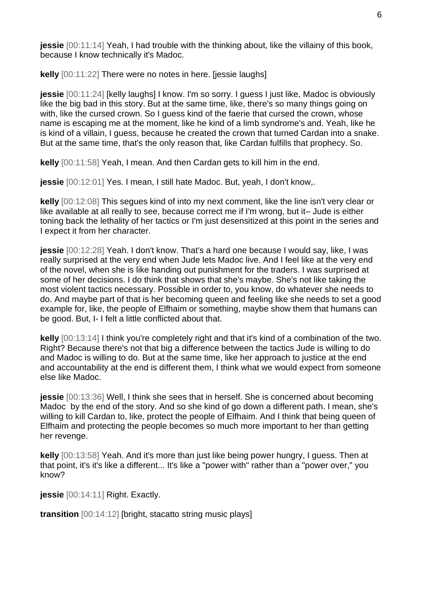**jessie** [00:11:14] Yeah, I had trouble with the thinking about, like the villainy of this book, because I know technically it's Madoc.

**kelly** [00:11:22] There were no notes in here. [jessie laughs]

**jessie** [00:11:24] [kelly laughs] I know. I'm so sorry. I guess I just like, Madoc is obviously like the big bad in this story. But at the same time, like, there's so many things going on with, like the cursed crown. So I quess kind of the faerie that cursed the crown, whose name is escaping me at the moment, like he kind of a limb syndrome's and. Yeah, like he is kind of a villain, I guess, because he created the crown that turned Cardan into a snake. But at the same time, that's the only reason that, like Cardan fulfills that prophecy. So.

**kelly** [00:11:58] Yeah, I mean. And then Cardan gets to kill him in the end.

**jessie** [00:12:01] Yes. I mean, I still hate Madoc. But, yeah, I don't know,.

**kelly** [00:12:08] This segues kind of into my next comment, like the line isn't very clear or like available at all really to see, because correct me if I'm wrong, but it– Jude is either toning back the lethality of her tactics or I'm just desensitized at this point in the series and I expect it from her character.

**jessie** [00:12:28] Yeah. I don't know. That's a hard one because I would say, like, I was really surprised at the very end when Jude lets Madoc live. And I feel like at the very end of the novel, when she is like handing out punishment for the traders. I was surprised at some of her decisions. I do think that shows that she's maybe. She's not like taking the most violent tactics necessary. Possible in order to, you know, do whatever she needs to do. And maybe part of that is her becoming queen and feeling like she needs to set a good example for, like, the people of Elfhaim or something, maybe show them that humans can be good. But, I- I felt a little conflicted about that.

**kelly** [00:13:14] I think you're completely right and that it's kind of a combination of the two. Right? Because there's not that big a difference between the tactics Jude is willing to do and Madoc is willing to do. But at the same time, like her approach to justice at the end and accountability at the end is different them, I think what we would expect from someone else like Madoc.

**jessie** [00:13:36] Well, I think she sees that in herself. She is concerned about becoming Madoc by the end of the story. And so she kind of go down a different path. I mean, she's willing to kill Cardan to, like, protect the people of Elfhaim. And I think that being queen of Elfhaim and protecting the people becomes so much more important to her than getting her revenge.

**kelly** [00:13:58] Yeah. And it's more than just like being power hungry, I guess. Then at that point, it's it's like a different... It's like a "power with" rather than a "power over," you know?

**jessie** [00:14:11] Right. Exactly.

**transition** [00:14:12] [bright, stacatto string music plays]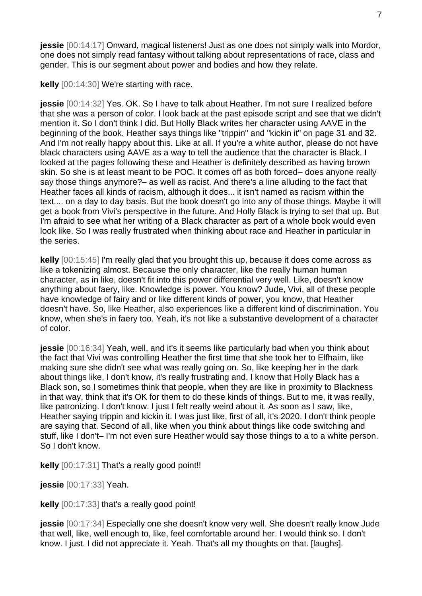**jessie** [00:14:17] Onward, magical listeners! Just as one does not simply walk into Mordor, one does not simply read fantasy without talking about representations of race, class and gender. This is our segment about power and bodies and how they relate.

**kelly** [00:14:30] We're starting with race.

**jessie** [00:14:32] Yes. OK. So I have to talk about Heather. I'm not sure I realized before that she was a person of color. I look back at the past episode script and see that we didn't mention it. So I don't think I did. But Holly Black writes her character using AAVE in the beginning of the book. Heather says things like "trippin" and "kickin it" on page 31 and 32. And I'm not really happy about this. Like at all. If you're a white author, please do not have black characters using AAVE as a way to tell the audience that the character is Black. I looked at the pages following these and Heather is definitely described as having brown skin. So she is at least meant to be POC. It comes off as both forced– does anyone really say those things anymore?– as well as racist. And there's a line alluding to the fact that Heather faces all kinds of racism, although it does... it isn't named as racism within the text.... on a day to day basis. But the book doesn't go into any of those things. Maybe it will get a book from Vivi's perspective in the future. And Holly Black is trying to set that up. But I'm afraid to see what her writing of a Black character as part of a whole book would even look like. So I was really frustrated when thinking about race and Heather in particular in the series.

**kelly** [00:15:45] I'm really glad that you brought this up, because it does come across as like a tokenizing almost. Because the only character, like the really human human character, as in like, doesn't fit into this power differential very well. Like, doesn't know anything about faery, like. Knowledge is power. You know? Jude, Vivi, all of these people have knowledge of fairy and or like different kinds of power, you know, that Heather doesn't have. So, like Heather, also experiences like a different kind of discrimination. You know, when she's in faery too. Yeah, it's not like a substantive development of a character of color.

**jessie** [00:16:34] Yeah, well, and it's it seems like particularly bad when you think about the fact that Vivi was controlling Heather the first time that she took her to Elfhaim, like making sure she didn't see what was really going on. So, like keeping her in the dark about things like, I don't know, it's really frustrating and. I know that Holly Black has a Black son, so I sometimes think that people, when they are like in proximity to Blackness in that way, think that it's OK for them to do these kinds of things. But to me, it was really, like patronizing. I don't know. I just I felt really weird about it. As soon as I saw, like, Heather saying trippin and kickin it. I was just like, first of all, it's 2020. I don't think people are saying that. Second of all, like when you think about things like code switching and stuff, like I don't– I'm not even sure Heather would say those things to a to a white person. So I don't know.

**kelly** [00:17:31] That's a really good point!!

**jessie** [00:17:33] Yeah.

**kelly** [00:17:33] that's a really good point!

**jessie** [00:17:34] Especially one she doesn't know very well. She doesn't really know Jude that well, like, well enough to, like, feel comfortable around her. I would think so. I don't know. I just. I did not appreciate it. Yeah. That's all my thoughts on that. [laughs].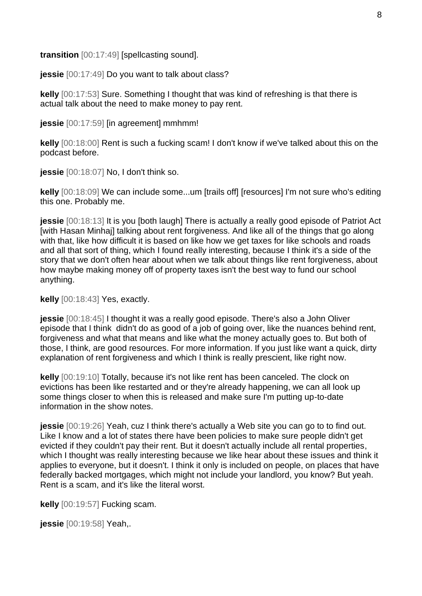**transition** [00:17:49] [spellcasting sound].

**jessie** [00:17:49] Do you want to talk about class?

**kelly** [00:17:53] Sure. Something I thought that was kind of refreshing is that there is actual talk about the need to make money to pay rent.

**jessie** [00:17:59] [in agreement] mmhmm!

**kelly** [00:18:00] Rent is such a fucking scam! I don't know if we've talked about this on the podcast before.

**jessie** [00:18:07] No, I don't think so.

**kelly** [00:18:09] We can include some...um [trails off] [resources] I'm not sure who's editing this one. Probably me.

**jessie** [00:18:13] It is you [both laugh] There is actually a really good episode of Patriot Act [with Hasan Minhaj] talking about rent forgiveness. And like all of the things that go along with that, like how difficult it is based on like how we get taxes for like schools and roads and all that sort of thing, which I found really interesting, because I think it's a side of the story that we don't often hear about when we talk about things like rent forgiveness, about how maybe making money off of property taxes isn't the best way to fund our school anything.

**kelly** [00:18:43] Yes, exactly.

**jessie** [00:18:45] I thought it was a really good episode. There's also a John Oliver episode that I think didn't do as good of a job of going over, like the nuances behind rent, forgiveness and what that means and like what the money actually goes to. But both of those, I think, are good resources. For more information. If you just like want a quick, dirty explanation of rent forgiveness and which I think is really prescient, like right now.

**kelly** [00:19:10] Totally, because it's not like rent has been canceled. The clock on evictions has been like restarted and or they're already happening, we can all look up some things closer to when this is released and make sure I'm putting up-to-date information in the show notes.

**jessie** [00:19:26] Yeah, cuz I think there's actually a Web site you can go to to find out. Like I know and a lot of states there have been policies to make sure people didn't get evicted if they couldn't pay their rent. But it doesn't actually include all rental properties, which I thought was really interesting because we like hear about these issues and think it applies to everyone, but it doesn't. I think it only is included on people, on places that have federally backed mortgages, which might not include your landlord, you know? But yeah. Rent is a scam, and it's like the literal worst.

**kelly** [00:19:57] Fucking scam.

**jessie** [00:19:58] Yeah,.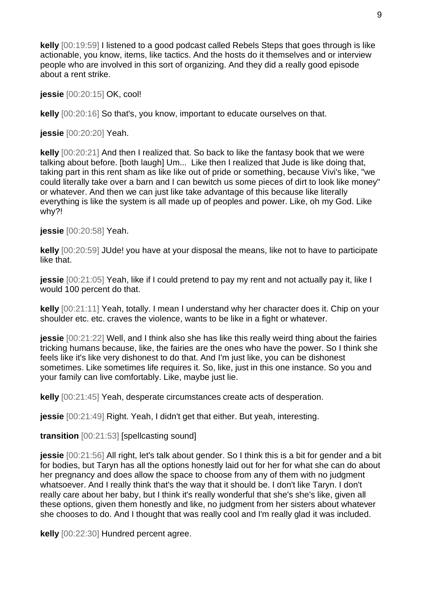**kelly** [00:19:59] I listened to a good podcast called Rebels Steps that goes through is like actionable, you know, items, like tactics. And the hosts do it themselves and or interview people who are involved in this sort of organizing. And they did a really good episode about a rent strike.

**jessie** [00:20:15] OK, cool!

**kelly** [00:20:16] So that's, you know, important to educate ourselves on that.

**jessie** [00:20:20] Yeah.

**kelly** [00:20:21] And then I realized that. So back to like the fantasy book that we were talking about before. [both laugh] Um... Like then I realized that Jude is like doing that, taking part in this rent sham as like like out of pride or something, because Vivi's like, "we could literally take over a barn and I can bewitch us some pieces of dirt to look like money" or whatever. And then we can just like take advantage of this because like literally everything is like the system is all made up of peoples and power. Like, oh my God. Like why?!

**jessie** [00:20:58] Yeah.

**kelly** [00:20:59] JUde! you have at your disposal the means, like not to have to participate like that.

**jessie** [00:21:05] Yeah, like if I could pretend to pay my rent and not actually pay it, like I would 100 percent do that.

**kelly** [00:21:11] Yeah, totally. I mean I understand why her character does it. Chip on your shoulder etc. etc. craves the violence, wants to be like in a fight or whatever.

**jessie** [00:21:22] Well, and I think also she has like this really weird thing about the fairies tricking humans because, like, the fairies are the ones who have the power. So I think she feels like it's like very dishonest to do that. And I'm just like, you can be dishonest sometimes. Like sometimes life requires it. So, like, just in this one instance. So you and your family can live comfortably. Like, maybe just lie.

**kelly** [00:21:45] Yeah, desperate circumstances create acts of desperation.

**jessie** [00:21:49] Right. Yeah, I didn't get that either. But yeah, interesting.

**transition** [00:21:53] [spellcasting sound]

**jessie** [00:21:56] All right, let's talk about gender. So I think this is a bit for gender and a bit for bodies, but Taryn has all the options honestly laid out for her for what she can do about her pregnancy and does allow the space to choose from any of them with no judgment whatsoever. And I really think that's the way that it should be. I don't like Taryn. I don't really care about her baby, but I think it's really wonderful that she's she's like, given all these options, given them honestly and like, no judgment from her sisters about whatever she chooses to do. And I thought that was really cool and I'm really glad it was included.

**kelly** [00:22:30] Hundred percent agree.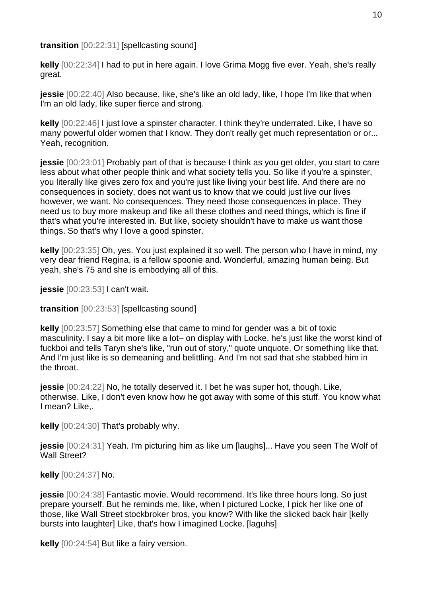**transition** [00:22:31] [spellcasting sound]

**kelly** [00:22:34] I had to put in here again. I love Grima Mogg five ever. Yeah, she's really great.

**jessie** [00:22:40] Also because, like, she's like an old lady, like, I hope I'm like that when I'm an old lady, like super fierce and strong.

**kelly** [00:22:46] I just love a spinster character. I think they're underrated. Like, I have so many powerful older women that I know. They don't really get much representation or or... Yeah, recognition.

**jessie** [00:23:01] Probably part of that is because I think as you get older, you start to care less about what other people think and what society tells you. So like if you're a spinster, you literally like gives zero fox and you're just like living your best life. And there are no consequences in society, does not want us to know that we could just live our lives however, we want. No consequences. They need those consequences in place. They need us to buy more makeup and like all these clothes and need things, which is fine if that's what you're interested in. But like, society shouldn't have to make us want those things. So that's why I love a good spinster.

**kelly** [00:23:35] Oh, yes. You just explained it so well. The person who I have in mind, my very dear friend Regina, is a fellow spoonie and. Wonderful, amazing human being. But yeah, she's 75 and she is embodying all of this.

**jessie** [00:23:53] I can't wait.

**transition** [00:23:53] [spellcasting sound]

**kelly** [00:23:57] Something else that came to mind for gender was a bit of toxic masculinity. I say a bit more like a lot– on display with Locke, he's just like the worst kind of fuckboi and tells Taryn she's like, "run out of story," quote unquote. Or something like that. And I'm just like is so demeaning and belittling. And I'm not sad that she stabbed him in the throat.

**jessie** [00:24:22] No, he totally deserved it. I bet he was super hot, though. Like, otherwise. Like, I don't even know how he got away with some of this stuff. You know what I mean? Like,.

**kelly** [00:24:30] That's probably why.

**jessie** [00:24:31] Yeah. I'm picturing him as like um [laughs]... Have you seen The Wolf of Wall Street?

**kelly** [00:24:37] No.

**jessie** [00:24:38] Fantastic movie. Would recommend. It's like three hours long. So just prepare yourself. But he reminds me, like, when I pictured Locke, I pick her like one of those, like Wall Street stockbroker bros, you know? With like the slicked back hair [kelly bursts into laughter] Like, that's how I imagined Locke. [laguhs]

**kelly** [00:24:54] But like a fairy version.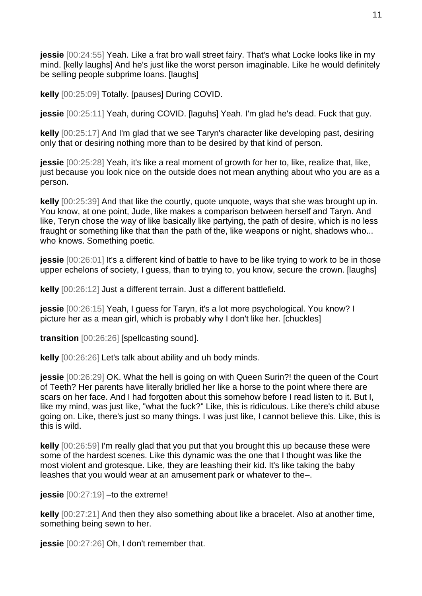**jessie** [00:24:55] Yeah. Like a frat bro wall street fairy. That's what Locke looks like in my mind. [kelly laughs] And he's just like the worst person imaginable. Like he would definitely be selling people subprime loans. [laughs]

**kelly** [00:25:09] Totally. [pauses] During COVID.

**jessie** [00:25:11] Yeah, during COVID. [laguhs] Yeah. I'm glad he's dead. Fuck that guy.

**kelly** [00:25:17] And I'm glad that we see Taryn's character like developing past, desiring only that or desiring nothing more than to be desired by that kind of person.

**jessie** [00:25:28] Yeah, it's like a real moment of growth for her to, like, realize that, like, just because you look nice on the outside does not mean anything about who you are as a person.

**kelly** [00:25:39] And that like the courtly, quote unquote, ways that she was brought up in. You know, at one point, Jude, like makes a comparison between herself and Taryn. And like, Teryn chose the way of like basically like partying, the path of desire, which is no less fraught or something like that than the path of the, like weapons or night, shadows who... who knows. Something poetic.

**jessie** [00:26:01] It's a different kind of battle to have to be like trying to work to be in those upper echelons of society, I guess, than to trying to, you know, secure the crown. [laughs]

**kelly** [00:26:12] Just a different terrain. Just a different battlefield.

**jessie** [00:26:15] Yeah, I guess for Taryn, it's a lot more psychological. You know? I picture her as a mean girl, which is probably why I don't like her. [chuckles]

**transition** [00:26:26] [spellcasting sound].

**kelly** [00:26:26] Let's talk about ability and uh body minds.

**jessie** [00:26:29] OK. What the hell is going on with Queen Surin?! the queen of the Court of Teeth? Her parents have literally bridled her like a horse to the point where there are scars on her face. And I had forgotten about this somehow before I read listen to it. But I, like my mind, was just like, "what the fuck?" Like, this is ridiculous. Like there's child abuse going on. Like, there's just so many things. I was just like, I cannot believe this. Like, this is this is wild.

**kelly** [00:26:59] I'm really glad that you put that you brought this up because these were some of the hardest scenes. Like this dynamic was the one that I thought was like the most violent and grotesque. Like, they are leashing their kid. It's like taking the baby leashes that you would wear at an amusement park or whatever to the–.

**jessie**  $[00:27:19]$  –to the extreme!

**kelly** [00:27:21] And then they also something about like a bracelet. Also at another time, something being sewn to her.

**jessie** [00:27:26] Oh, I don't remember that.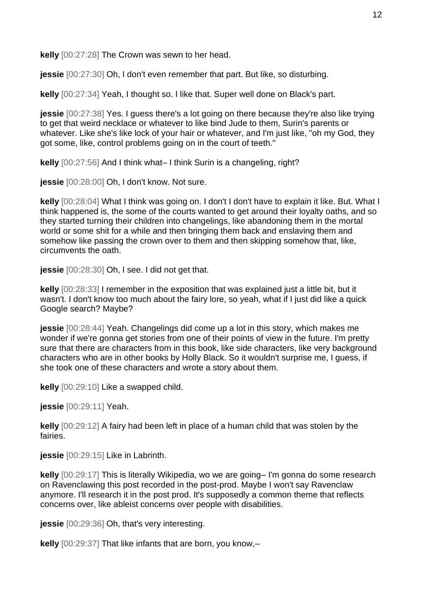**kelly** [00:27:28] The Crown was sewn to her head.

**jessie** [00:27:30] Oh, I don't even remember that part. But like, so disturbing.

**kelly** [00:27:34] Yeah, I thought so. I like that. Super well done on Black's part.

**jessie** [00:27:38] Yes. I guess there's a lot going on there because they're also like trying to get that weird necklace or whatever to like bind Jude to them, Surin's parents or whatever. Like she's like lock of your hair or whatever, and I'm just like, "oh my God, they got some, like, control problems going on in the court of teeth."

**kelly** [00:27:56] And I think what– I think Surin is a changeling, right?

**jessie** [00:28:00] Oh, I don't know. Not sure.

**kelly** [00:28:04] What I think was going on. I don't I don't have to explain it like. But. What I think happened is, the some of the courts wanted to get around their loyalty oaths, and so they started turning their children into changelings, like abandoning them in the mortal world or some shit for a while and then bringing them back and enslaving them and somehow like passing the crown over to them and then skipping somehow that, like, circumvents the oath.

**jessie** [00:28:30] Oh, I see. I did not get that.

**kelly** [00:28:33] I remember in the exposition that was explained just a little bit, but it wasn't. I don't know too much about the fairy lore, so yeah, what if I just did like a quick Google search? Maybe?

**jessie** [00:28:44] Yeah. Changelings did come up a lot in this story, which makes me wonder if we're gonna get stories from one of their points of view in the future. I'm pretty sure that there are characters from in this book, like side characters, like very background characters who are in other books by Holly Black. So it wouldn't surprise me, I guess, if she took one of these characters and wrote a story about them.

**kelly** [00:29:10] Like a swapped child.

**jessie** [00:29:11] Yeah.

**kelly** [00:29:12] A fairy had been left in place of a human child that was stolen by the fairies.

**jessie** [00:29:15] Like in Labrinth.

**kelly** [00:29:17] This is literally Wikipedia, wo we are going– I'm gonna do some research on Ravenclawing this post recorded in the post-prod. Maybe I won't say Ravenclaw anymore. I'll research it in the post prod. It's supposedly a common theme that reflects concerns over, like ableist concerns over people with disabilities.

**jessie** [00:29:36] Oh, that's very interesting.

**kelly** [00:29:37] That like infants that are born, you know,–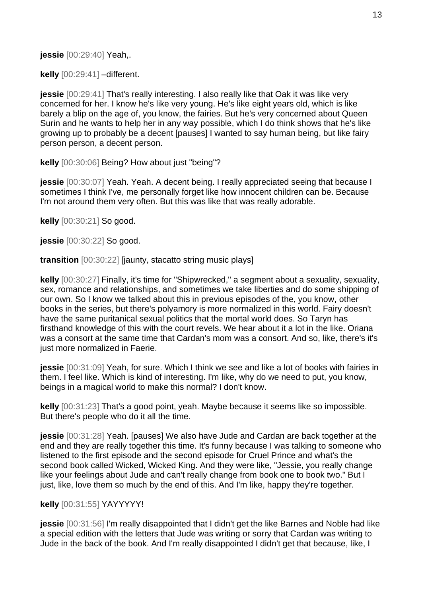**jessie** [00:29:40] Yeah,.

**kelly** [00:29:41] –different.

**jessie** [00:29:41] That's really interesting. I also really like that Oak it was like very concerned for her. I know he's like very young. He's like eight years old, which is like barely a blip on the age of, you know, the fairies. But he's very concerned about Queen Surin and he wants to help her in any way possible, which I do think shows that he's like growing up to probably be a decent [pauses] I wanted to say human being, but like fairy person person, a decent person.

**kelly** [00:30:06] Being? How about just "being"?

**jessie** [00:30:07] Yeah. Yeah. A decent being. I really appreciated seeing that because I sometimes I think I've, me personally forget like how innocent children can be. Because I'm not around them very often. But this was like that was really adorable.

**kelly** [00:30:21] So good.

**jessie** [00:30:22] So good.

**transition** [00:30:22] [jaunty, stacatto string music plays]

**kelly** [00:30:27] Finally, it's time for "Shipwrecked," a segment about a sexuality, sexuality, sex, romance and relationships, and sometimes we take liberties and do some shipping of our own. So I know we talked about this in previous episodes of the, you know, other books in the series, but there's polyamory is more normalized in this world. Fairy doesn't have the same puritanical sexual politics that the mortal world does. So Taryn has firsthand knowledge of this with the court revels. We hear about it a lot in the like. Oriana was a consort at the same time that Cardan's mom was a consort. And so, like, there's it's just more normalized in Faerie.

**jessie** [00:31:09] Yeah, for sure. Which I think we see and like a lot of books with fairies in them. I feel like. Which is kind of interesting. I'm like, why do we need to put, you know, beings in a magical world to make this normal? I don't know.

**kelly** [00:31:23] That's a good point, yeah. Maybe because it seems like so impossible. But there's people who do it all the time.

**jessie** [00:31:28] Yeah. [pauses] We also have Jude and Cardan are back together at the end and they are really together this time. It's funny because I was talking to someone who listened to the first episode and the second episode for Cruel Prince and what's the second book called Wicked, Wicked King. And they were like, "Jessie, you really change like your feelings about Jude and can't really change from book one to book two." But I just, like, love them so much by the end of this. And I'm like, happy they're together.

## **kelly** [00:31:55] YAYYYYY!

**jessie** [00:31:56] I'm really disappointed that I didn't get the like Barnes and Noble had like a special edition with the letters that Jude was writing or sorry that Cardan was writing to Jude in the back of the book. And I'm really disappointed I didn't get that because, like, I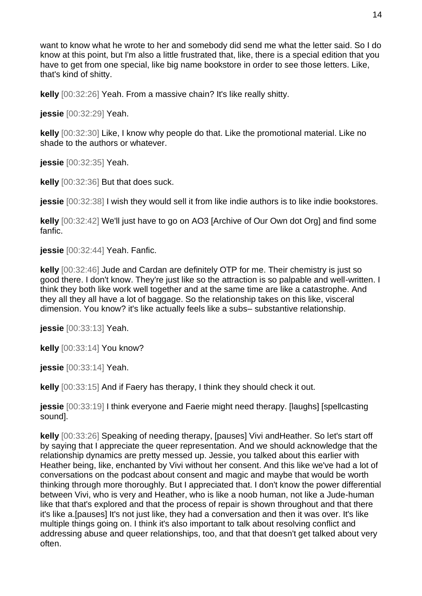want to know what he wrote to her and somebody did send me what the letter said. So I do know at this point, but I'm also a little frustrated that, like, there is a special edition that you have to get from one special, like big name bookstore in order to see those letters. Like, that's kind of shitty.

**kelly** [00:32:26] Yeah. From a massive chain? It's like really shitty.

**jessie** [00:32:29] Yeah.

**kelly** [00:32:30] Like, I know why people do that. Like the promotional material. Like no shade to the authors or whatever.

**jessie** [00:32:35] Yeah.

**kelly** [00:32:36] But that does suck.

**jessie** [00:32:38] I wish they would sell it from like indie authors is to like indie bookstores.

**kelly** [00:32:42] We'll just have to go on AO3 [Archive of Our Own dot Org] and find some fanfic.

**jessie** [00:32:44] Yeah. Fanfic.

**kelly** [00:32:46] Jude and Cardan are definitely OTP for me. Their chemistry is just so good there. I don't know. They're just like so the attraction is so palpable and well-written. I think they both like work well together and at the same time are like a catastrophe. And they all they all have a lot of baggage. So the relationship takes on this like, visceral dimension. You know? it's like actually feels like a subs– substantive relationship.

**jessie** [00:33:13] Yeah.

**kelly** [00:33:14] You know?

**jessie** [00:33:14] Yeah.

**kelly** [00:33:15] And if Faery has therapy, I think they should check it out.

**jessie** [00:33:19] I think everyone and Faerie might need therapy. [laughs] [spellcasting sound].

**kelly** [00:33:26] Speaking of needing therapy, [pauses] Vivi andHeather. So let's start off by saying that I appreciate the queer representation. And we should acknowledge that the relationship dynamics are pretty messed up. Jessie, you talked about this earlier with Heather being, like, enchanted by Vivi without her consent. And this like we've had a lot of conversations on the podcast about consent and magic and maybe that would be worth thinking through more thoroughly. But I appreciated that. I don't know the power differential between Vivi, who is very and Heather, who is like a noob human, not like a Jude-human like that that's explored and that the process of repair is shown throughout and that there it's like a.[pauses] It's not just like, they had a conversation and then it was over. It's like multiple things going on. I think it's also important to talk about resolving conflict and addressing abuse and queer relationships, too, and that that doesn't get talked about very often.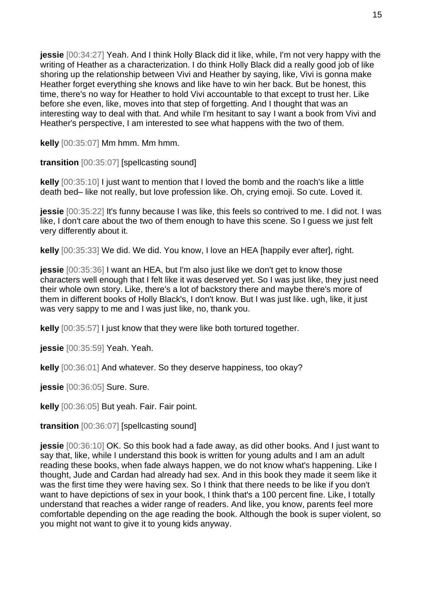**jessie** [00:34:27] Yeah. And I think Holly Black did it like, while, I'm not very happy with the writing of Heather as a characterization. I do think Holly Black did a really good job of like shoring up the relationship between Vivi and Heather by saying, like, Vivi is gonna make Heather forget everything she knows and like have to win her back. But be honest, this time, there's no way for Heather to hold Vivi accountable to that except to trust her. Like before she even, like, moves into that step of forgetting. And I thought that was an interesting way to deal with that. And while I'm hesitant to say I want a book from Vivi and Heather's perspective, I am interested to see what happens with the two of them.

**kelly** [00:35:07] Mm hmm. Mm hmm.

**transition** [00:35:07] [spellcasting sound]

**kelly** [00:35:10] I just want to mention that I loved the bomb and the roach's like a little death bed– like not really, but love profession like. Oh, crying emoji. So cute. Loved it.

**jessie** [00:35:22] It's funny because I was like, this feels so contrived to me. I did not. I was like, I don't care about the two of them enough to have this scene. So I guess we just felt very differently about it.

**kelly** [00:35:33] We did. We did. You know, I love an HEA [happily ever after], right.

**jessie** [00:35:36] I want an HEA, but I'm also just like we don't get to know those characters well enough that I felt like it was deserved yet. So I was just like, they just need their whole own story. Like, there's a lot of backstory there and maybe there's more of them in different books of Holly Black's, I don't know. But I was just like. ugh, like, it just was very sappy to me and I was just like, no, thank you.

**kelly** [00:35:57] I just know that they were like both tortured together.

**jessie** [00:35:59] Yeah. Yeah.

**kelly** [00:36:01] And whatever. So they deserve happiness, too okay?

**jessie** [00:36:05] Sure. Sure.

**kelly** [00:36:05] But yeah. Fair. Fair point.

**transition** [00:36:07] [spellcasting sound]

**jessie** [00:36:10] OK. So this book had a fade away, as did other books. And I just want to say that, like, while I understand this book is written for young adults and I am an adult reading these books, when fade always happen, we do not know what's happening. Like I thought, Jude and Cardan had already had sex. And in this book they made it seem like it was the first time they were having sex. So I think that there needs to be like if you don't want to have depictions of sex in your book, I think that's a 100 percent fine. Like, I totally understand that reaches a wider range of readers. And like, you know, parents feel more comfortable depending on the age reading the book. Although the book is super violent, so you might not want to give it to young kids anyway.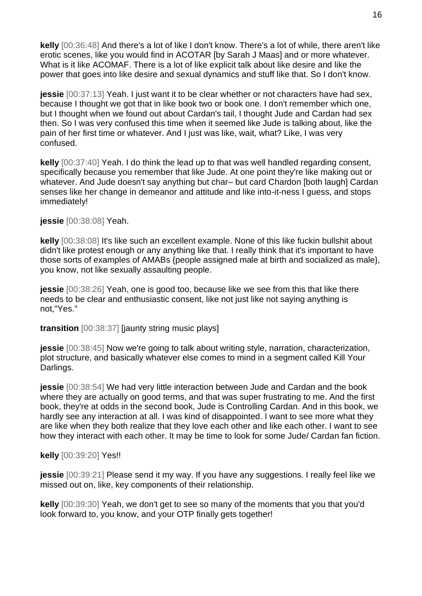**kelly** [00:36:48] And there's a lot of like I don't know. There's a lot of while, there aren't like erotic scenes, like you would find in ACOTAR [by Sarah J Maas] and or more whatever. What is it like ACOMAF. There is a lot of like explicit talk about like desire and like the power that goes into like desire and sexual dynamics and stuff like that. So I don't know.

**jessie** [00:37:13] Yeah. I just want it to be clear whether or not characters have had sex, because I thought we got that in like book two or book one. I don't remember which one, but I thought when we found out about Cardan's tail, I thought Jude and Cardan had sex then. So I was very confused this time when it seemed like Jude is talking about, like the pain of her first time or whatever. And I just was like, wait, what? Like, I was very confused.

**kelly** [00:37:40] Yeah. I do think the lead up to that was well handled regarding consent, specifically because you remember that like Jude. At one point they're like making out or whatever. And Jude doesn't say anything but char– but card Chardon [both laugh] Cardan senses like her change in demeanor and attitude and like into-it-ness I guess, and stops immediately!

## **jessie** [00:38:08] Yeah.

**kelly** [00:38:08] It's like such an excellent example. None of this like fuckin bullshit about didn't like protest enough or any anything like that. I really think that it's important to have those sorts of examples of AMABs {people assigned male at birth and socialized as male}, you know, not like sexually assaulting people.

**jessie** [00:38:26] Yeah, one is good too, because like we see from this that like there needs to be clear and enthusiastic consent, like not just like not saying anything is not,"Yes."

## **transition** [00:38:37] [jaunty string music plays]

**jessie** [00:38:45] Now we're going to talk about writing style, narration, characterization, plot structure, and basically whatever else comes to mind in a segment called Kill Your Darlings.

**jessie** [00:38:54] We had very little interaction between Jude and Cardan and the book where they are actually on good terms, and that was super frustrating to me. And the first book, they're at odds in the second book, Jude is Controlling Cardan. And in this book, we hardly see any interaction at all. I was kind of disappointed. I want to see more what they are like when they both realize that they love each other and like each other. I want to see how they interact with each other. It may be time to look for some Jude/ Cardan fan fiction.

## **kelly** [00:39:20] Yes!!

**jessie** [00:39:21] Please send it my way. If you have any suggestions. I really feel like we missed out on, like, key components of their relationship.

**kelly** [00:39:30] Yeah, we don't get to see so many of the moments that you that you'd look forward to, you know, and your OTP finally gets together!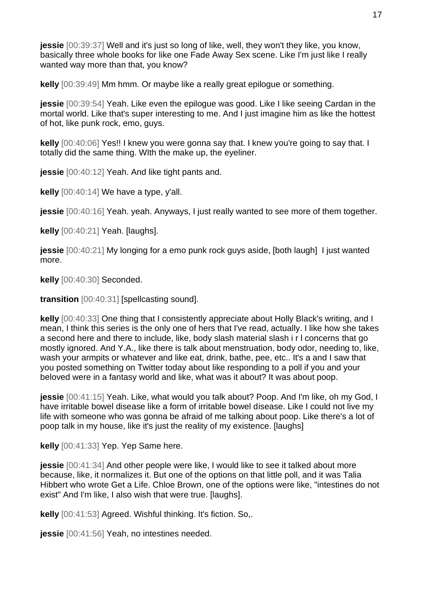**jessie** [00:39:37] Well and it's just so long of like, well, they won't they like, you know, basically three whole books for like one Fade Away Sex scene. Like I'm just like I really wanted way more than that, you know?

**kelly** [00:39:49] Mm hmm. Or maybe like a really great epilogue or something.

**jessie** [00:39:54] Yeah. Like even the epilogue was good. Like I like seeing Cardan in the mortal world. Like that's super interesting to me. And I just imagine him as like the hottest of hot, like punk rock, emo, guys.

**kelly** [00:40:06] Yes!! I knew you were gonna say that. I knew you're going to say that. I totally did the same thing. WIth the make up, the eyeliner.

**jessie** [00:40:12] Yeah. And like tight pants and.

**kelly** [00:40:14] We have a type, y'all.

**jessie** [00:40:16] Yeah. yeah. Anyways, I just really wanted to see more of them together.

**kelly** [00:40:21] Yeah. [laughs].

**jessie** [00:40:21] My longing for a emo punk rock guys aside, [both laugh] I just wanted more.

**kelly** [00:40:30] Seconded.

**transition** [00:40:31] [spellcasting sound].

**kelly** [00:40:33] One thing that I consistently appreciate about Holly Black's writing, and I mean, I think this series is the only one of hers that I've read, actually. I like how she takes a second here and there to include, like, body slash material slash i r l concerns that go mostly ignored. And Y.A., like there is talk about menstruation, body odor, needing to, like, wash your armpits or whatever and like eat, drink, bathe, pee, etc.. It's a and I saw that you posted something on Twitter today about like responding to a poll if you and your beloved were in a fantasy world and like, what was it about? It was about poop.

**jessie** [00:41:15] Yeah. Like, what would you talk about? Poop. And I'm like, oh my God, I have irritable bowel disease like a form of irritable bowel disease. Like I could not live my life with someone who was gonna be afraid of me talking about poop. Like there's a lot of poop talk in my house, like it's just the reality of my existence. [laughs]

**kelly** [00:41:33] Yep. Yep Same here.

**jessie** [00:41:34] And other people were like, I would like to see it talked about more because, like, it normalizes it. But one of the options on that little poll, and it was Talia Hibbert who wrote Get a Life. Chloe Brown, one of the options were like, "intestines do not exist" And I'm like, I also wish that were true. [laughs].

**kelly** [00:41:53] Agreed. Wishful thinking. It's fiction. So,.

**jessie** [00:41:56] Yeah, no intestines needed.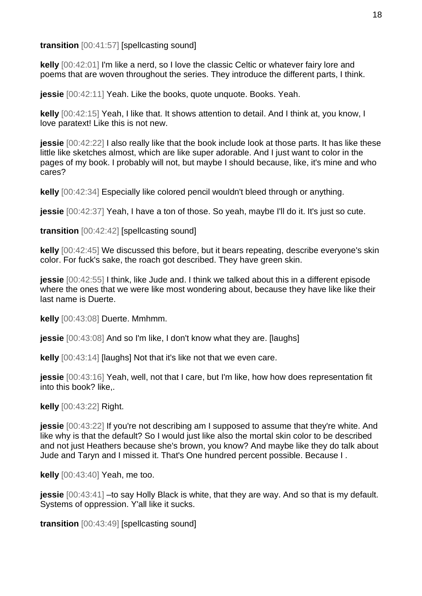**transition** [00:41:57] [spellcasting sound]

**kelly** [00:42:01] I'm like a nerd, so I love the classic Celtic or whatever fairy lore and poems that are woven throughout the series. They introduce the different parts, I think.

**jessie** [00:42:11] Yeah. Like the books, quote unquote. Books. Yeah.

**kelly** [00:42:15] Yeah, I like that. It shows attention to detail. And I think at, you know, I love paratext! Like this is not new.

**jessie** [00:42:22] I also really like that the book include look at those parts. It has like these little like sketches almost, which are like super adorable. And I just want to color in the pages of my book. I probably will not, but maybe I should because, like, it's mine and who cares?

**kelly** [00:42:34] Especially like colored pencil wouldn't bleed through or anything.

**jessie** [00:42:37] Yeah, I have a ton of those. So yeah, maybe I'll do it. It's just so cute.

**transition** [00:42:42] [spellcasting sound]

**kelly** [00:42:45] We discussed this before, but it bears repeating, describe everyone's skin color. For fuck's sake, the roach got described. They have green skin.

**jessie** [00:42:55] I think, like Jude and. I think we talked about this in a different episode where the ones that we were like most wondering about, because they have like like their last name is Duerte.

**kelly** [00:43:08] Duerte. Mmhmm.

**jessie** [00:43:08] And so I'm like, I don't know what they are. [laughs]

**kelly** [00:43:14] [laughs] Not that it's like not that we even care.

**jessie** [00:43:16] Yeah, well, not that I care, but I'm like, how how does representation fit into this book? like,.

**kelly** [00:43:22] Right.

**jessie** [00:43:22] If you're not describing am I supposed to assume that they're white. And like why is that the default? So I would just like also the mortal skin color to be described and not just Heathers because she's brown, you know? And maybe like they do talk about Jude and Taryn and I missed it. That's One hundred percent possible. Because I .

**kelly** [00:43:40] Yeah, me too.

**jessie** [00:43:41] –to say Holly Black is white, that they are way. And so that is my default. Systems of oppression. Y'all like it sucks.

**transition** [00:43:49] [spellcasting sound]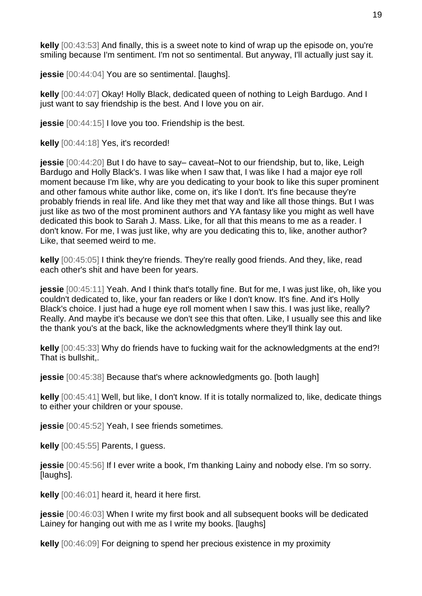**kelly** [00:43:53] And finally, this is a sweet note to kind of wrap up the episode on, you're smiling because I'm sentiment. I'm not so sentimental. But anyway, I'll actually just say it.

**jessie** [00:44:04] You are so sentimental. [laughs].

**kelly** [00:44:07] Okay! Holly Black, dedicated queen of nothing to Leigh Bardugo. And I just want to say friendship is the best. And I love you on air.

**jessie** [00:44:15] I love you too. Friendship is the best.

**kelly** [00:44:18] Yes, it's recorded!

**jessie** [00:44:20] But I do have to say– caveat–Not to our friendship, but to, like, Leigh Bardugo and Holly Black's. I was like when I saw that, I was like I had a major eye roll moment because I'm like, why are you dedicating to your book to like this super prominent and other famous white author like, come on, it's like I don't. It's fine because they're probably friends in real life. And like they met that way and like all those things. But I was just like as two of the most prominent authors and YA fantasy like you might as well have dedicated this book to Sarah J. Mass. Like, for all that this means to me as a reader. I don't know. For me, I was just like, why are you dedicating this to, like, another author? Like, that seemed weird to me.

**kelly** [00:45:05] I think they're friends. They're really good friends. And they, like, read each other's shit and have been for years.

**jessie** [00:45:11] Yeah. And I think that's totally fine. But for me, I was just like, oh, like you couldn't dedicated to, like, your fan readers or like I don't know. It's fine. And it's Holly Black's choice. I just had a huge eye roll moment when I saw this. I was just like, really? Really. And maybe it's because we don't see this that often. Like, I usually see this and like the thank you's at the back, like the acknowledgments where they'll think lay out.

**kelly** [00:45:33] Why do friends have to fucking wait for the acknowledgments at the end?! That is bullshit,.

**jessie** [00:45:38] Because that's where acknowledgments go. [both laugh]

**kelly** [00:45:41] Well, but like, I don't know. If it is totally normalized to, like, dedicate things to either your children or your spouse.

**jessie** [00:45:52] Yeah, I see friends sometimes.

**kelly** [00:45:55] Parents, I guess.

**jessie** [00:45:56] If I ever write a book, I'm thanking Lainy and nobody else. I'm so sorry. [laughs].

**kelly** [00:46:01] heard it, heard it here first.

**jessie** [00:46:03] When I write my first book and all subsequent books will be dedicated Lainey for hanging out with me as I write my books. [laughs]

**kelly** [00:46:09] For deigning to spend her precious existence in my proximity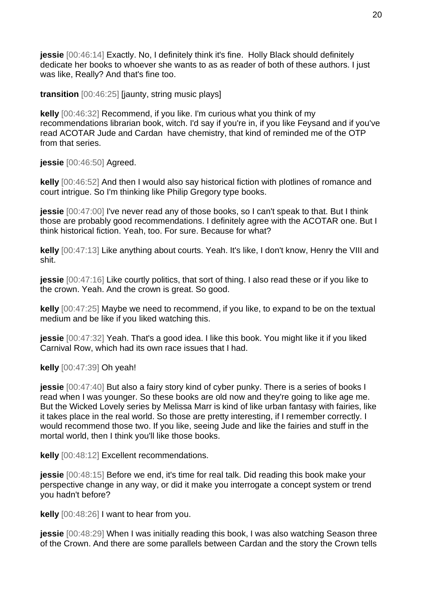**jessie** [00:46:14] Exactly. No, I definitely think it's fine. Holly Black should definitely dedicate her books to whoever she wants to as as reader of both of these authors. I just was like, Really? And that's fine too.

**transition** [00:46:25] [jaunty, string music plays]

**kelly** [00:46:32] Recommend, if you like. I'm curious what you think of my recommendations librarian book, witch. I'd say if you're in, if you like Feysand and if you've read ACOTAR Jude and Cardan have chemistry, that kind of reminded me of the OTP from that series.

**jessie** [00:46:50] Agreed.

**kelly** [00:46:52] And then I would also say historical fiction with plotlines of romance and court intrigue. So I'm thinking like Philip Gregory type books.

**jessie** [00:47:00] I've never read any of those books, so I can't speak to that. But I think those are probably good recommendations. I definitely agree with the ACOTAR one. But I think historical fiction. Yeah, too. For sure. Because for what?

**kelly** [00:47:13] Like anything about courts. Yeah. It's like, I don't know, Henry the VIII and shit.

**jessie** [00:47:16] Like courtly politics, that sort of thing. I also read these or if you like to the crown. Yeah. And the crown is great. So good.

**kelly** [00:47:25] Maybe we need to recommend, if you like, to expand to be on the textual medium and be like if you liked watching this.

**jessie** [00:47:32] Yeah. That's a good idea. I like this book. You might like it if you liked Carnival Row, which had its own race issues that I had.

**kelly** [00:47:39] Oh yeah!

**jessie** [00:47:40] But also a fairy story kind of cyber punky. There is a series of books I read when I was younger. So these books are old now and they're going to like age me. But the Wicked Lovely series by Melissa Marr is kind of like urban fantasy with fairies, like it takes place in the real world. So those are pretty interesting, if I remember correctly. I would recommend those two. If you like, seeing Jude and like the fairies and stuff in the mortal world, then I think you'll like those books.

**kelly** [00:48:12] Excellent recommendations.

**jessie** [00:48:15] Before we end, it's time for real talk. Did reading this book make your perspective change in any way, or did it make you interrogate a concept system or trend you hadn't before?

**kelly** [00:48:26] I want to hear from you.

**jessie** [00:48:29] When I was initially reading this book, I was also watching Season three of the Crown. And there are some parallels between Cardan and the story the Crown tells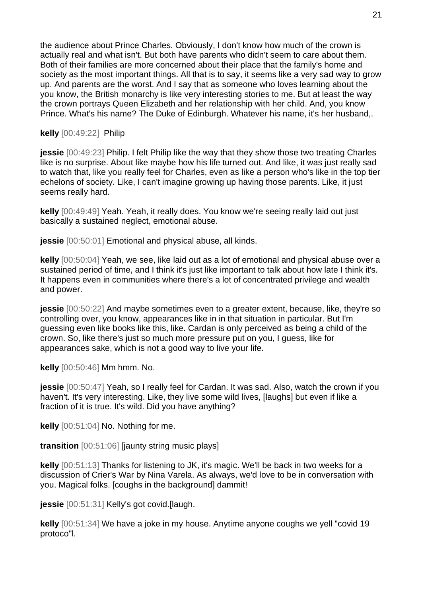the audience about Prince Charles. Obviously, I don't know how much of the crown is actually real and what isn't. But both have parents who didn't seem to care about them. Both of their families are more concerned about their place that the family's home and society as the most important things. All that is to say, it seems like a very sad way to grow up. And parents are the worst. And I say that as someone who loves learning about the you know, the British monarchy is like very interesting stories to me. But at least the way the crown portrays Queen Elizabeth and her relationship with her child. And, you know Prince. What's his name? The Duke of Edinburgh. Whatever his name, it's her husband,.

## **kelly** [00:49:22] Philip

**jessie** [00:49:23] Philip. I felt Philip like the way that they show those two treating Charles like is no surprise. About like maybe how his life turned out. And like, it was just really sad to watch that, like you really feel for Charles, even as like a person who's like in the top tier echelons of society. Like, I can't imagine growing up having those parents. Like, it just seems really hard.

**kelly** [00:49:49] Yeah. Yeah, it really does. You know we're seeing really laid out just basically a sustained neglect, emotional abuse.

**jessie** [00:50:01] Emotional and physical abuse, all kinds.

**kelly** [00:50:04] Yeah, we see, like laid out as a lot of emotional and physical abuse over a sustained period of time, and I think it's just like important to talk about how late I think it's. It happens even in communities where there's a lot of concentrated privilege and wealth and power.

**jessie** [00:50:22] And maybe sometimes even to a greater extent, because, like, they're so controlling over, you know, appearances like in in that situation in particular. But I'm guessing even like books like this, like. Cardan is only perceived as being a child of the crown. So, like there's just so much more pressure put on you, I guess, like for appearances sake, which is not a good way to live your life.

**kelly** [00:50:46] Mm hmm. No.

**jessie** [00:50:47] Yeah, so I really feel for Cardan. It was sad. Also, watch the crown if you haven't. It's very interesting. Like, they live some wild lives, [laughs] but even if like a fraction of it is true. It's wild. Did you have anything?

**kelly** [00:51:04] No. Nothing for me.

**transition** [00:51:06] [jaunty string music plays]

**kelly** [00:51:13] Thanks for listening to JK, it's magic. We'll be back in two weeks for a discussion of Crier's War by Nina Varela. As always, we'd love to be in conversation with you. Magical folks. [coughs in the background] dammit!

**jessie** [00:51:31] Kelly's got covid.[laugh.

**kelly** [00:51:34] We have a joke in my house. Anytime anyone coughs we yell "covid 19 protoco"l.